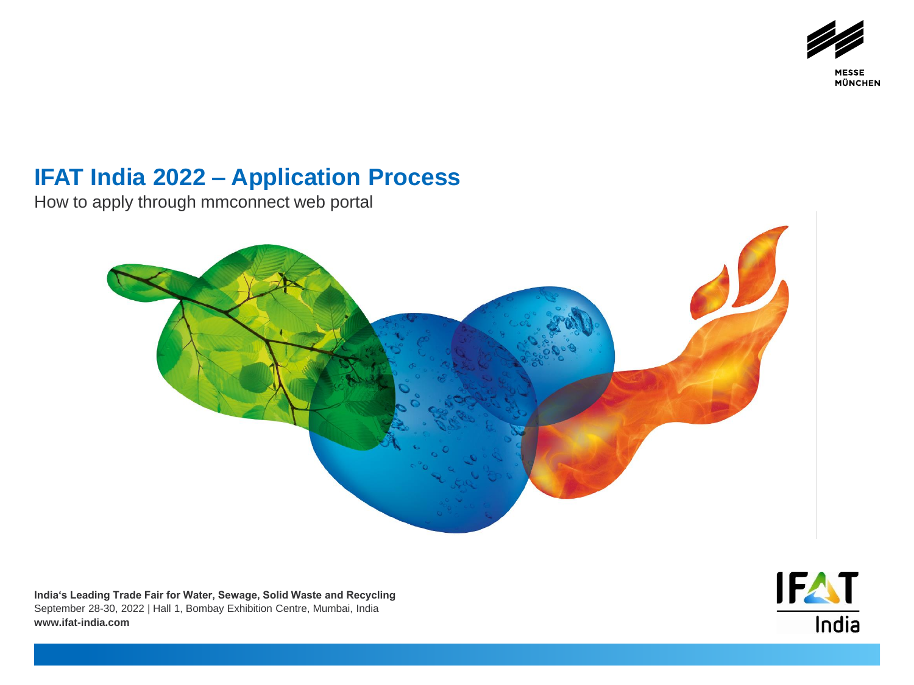

**MESSE MÜNCHEN** 

## **IFAT India 2022 – Application Process**

How to apply through mmconnect web portal



**India's Leading Trade Fair for Water, Sewage, Solid Waste and Recycling** September 28-30, 2022 | Hall 1, Bombay Exhibition Centre, Mumbai, India **www.ifat-india.com**

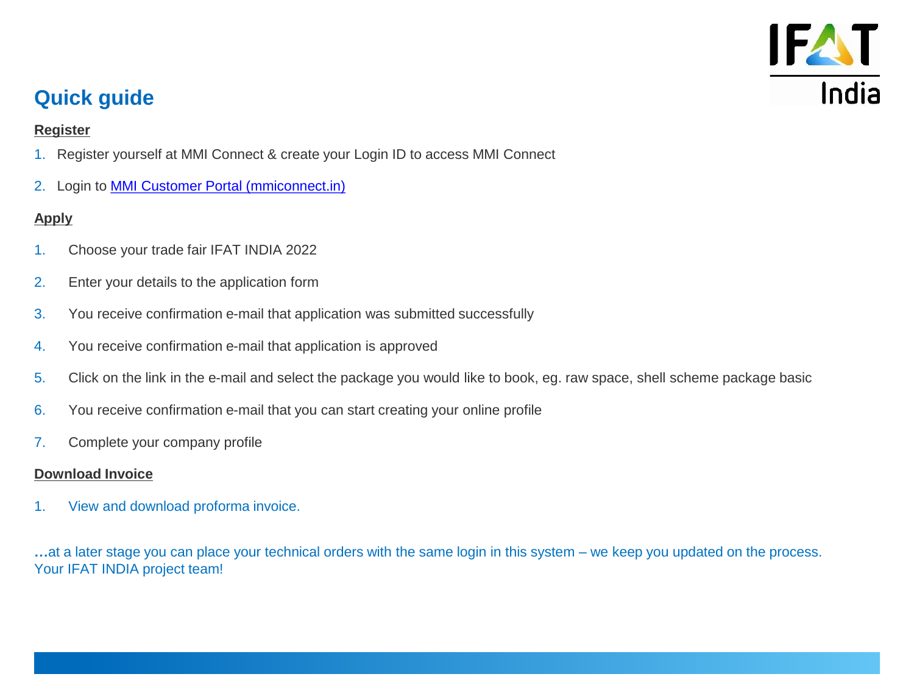

## **Quick guide**

### **Register**

- 1. Register yourself at MMI Connect & create your Login ID to access MMI Connect
- 2. Login to [MMI Customer Portal \(mmiconnect.in\)](https://mmiconnect.in/app/global/event-home-page?utm_campaign=eloqua&utm_medium=mail&utm_content=IFI_2021_E_EML_02_EN&utm_source=eloqua)

### **Apply**

- 1. Choose your trade fair IFAT INDIA 2022
- 2. Enter your details to the application form
- 3. You receive confirmation e-mail that application was submitted successfully
- 4. You receive confirmation e-mail that application is approved
- 5. Click on the link in the e-mail and select the package you would like to book, eg. raw space, shell scheme package basic
- 6. You receive confirmation e-mail that you can start creating your online profile
- 7. Complete your company profile

### **Download Invoice**

1. View and download proforma invoice.

**…**at a later stage you can place your technical orders with the same login in this system – we keep you updated on the process. Your IFAT INDIA project team!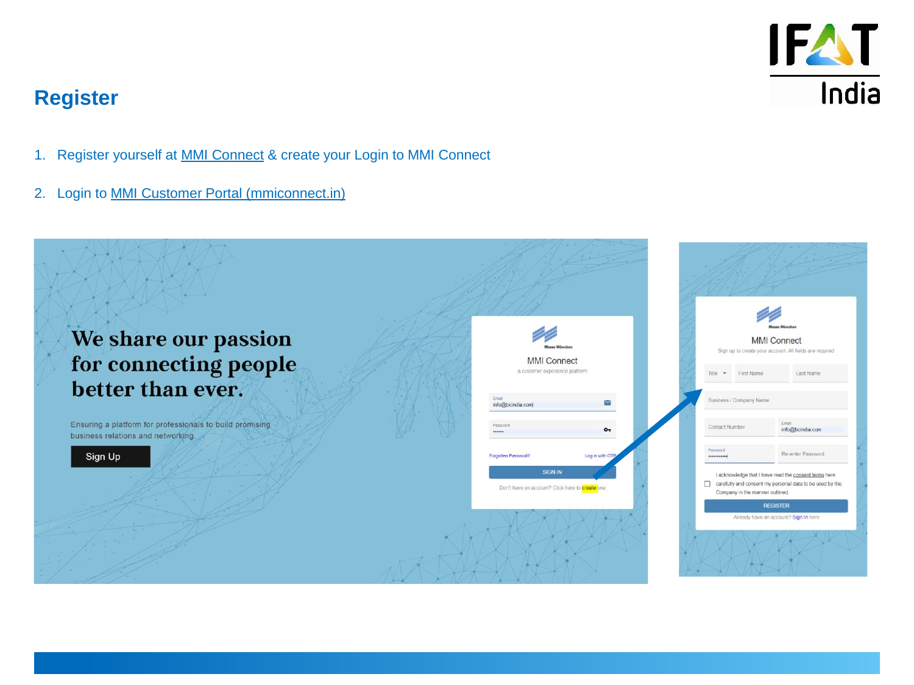

## **Register**

- 1. Register yourself at [MMI Connect](https://mmiconnect.in/app/global/event-home-page) & create your Login to MMI Connect
- 2. Login to [MMI Customer Portal \(mmiconnect.in\)](https://mmiconnect.in/app/global/event-home-page)

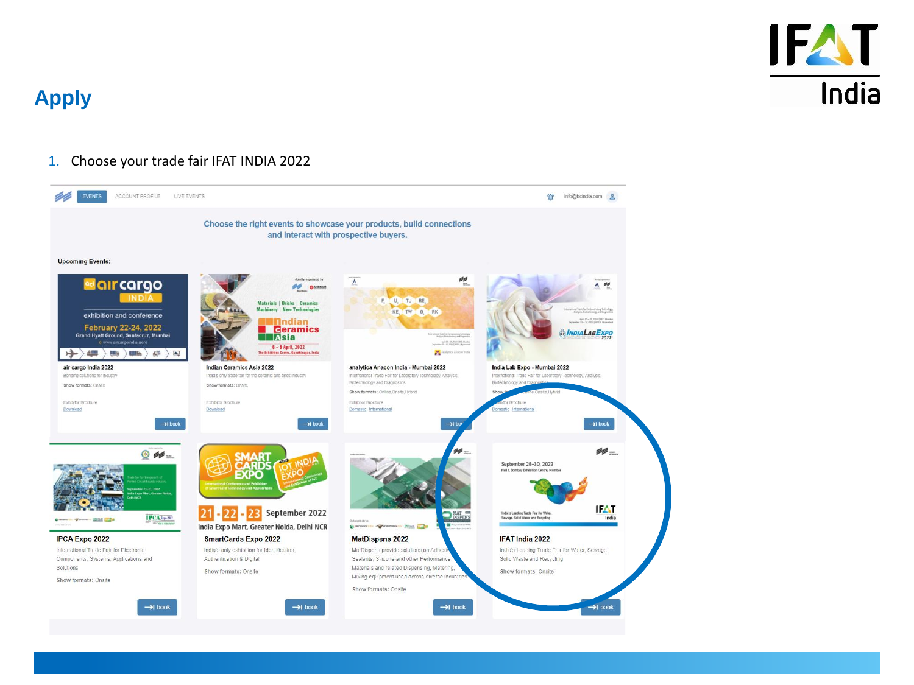

#### 1. Choose your trade fair IFAT INDIA 2022

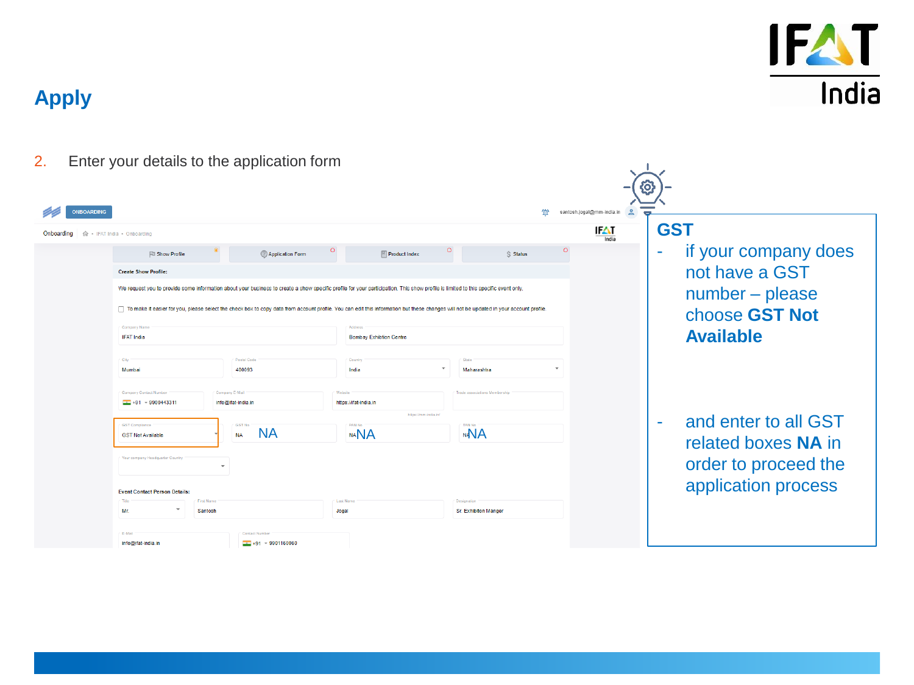

| 2.                |                                                          | Enter your details to the application form              |                                                                                                                                                                                        |                                            |                                          |                                                               |
|-------------------|----------------------------------------------------------|---------------------------------------------------------|----------------------------------------------------------------------------------------------------------------------------------------------------------------------------------------|--------------------------------------------|------------------------------------------|---------------------------------------------------------------|
| <b>ONBOARDING</b> |                                                          |                                                         |                                                                                                                                                                                        |                                            | santosh.jogal@mm-india.in<br>$\geq$<br>个 |                                                               |
| Onboarding        | 命 · IFAT India · Onboarding                              |                                                         |                                                                                                                                                                                        |                                            | IЮ<br>India                              | <b>GST</b>                                                    |
|                   | <b>Fill Show Profile</b>                                 | <b>(?)</b> Application Form                             | <b>Product Index</b>                                                                                                                                                                   | $\circ$<br>S Status                        | $\circ$                                  | if your company does<br>۰                                     |
|                   | <b>Create Show Profile:</b>                              |                                                         |                                                                                                                                                                                        |                                            |                                          | not have a GST                                                |
|                   |                                                          |                                                         | We request you to provide some information about your business to create a show specific profile for your participation. This show profile is limited to this specific event only.     |                                            |                                          | number - please                                               |
|                   |                                                          |                                                         | To make it easier for you, please select the check box to copy data from account profile. You can edit this information but these changes will not be updated in your account profile. |                                            |                                          | choose GST Not                                                |
|                   | Company Name<br><b>IFAT India</b>                        |                                                         | Arldrage<br><b>Bombay Exhibtion Centre</b>                                                                                                                                             |                                            |                                          | <b>Available</b>                                              |
|                   | City                                                     | Postal Code                                             | Country                                                                                                                                                                                | State                                      |                                          |                                                               |
|                   | Mumbai                                                   | 400093                                                  | India                                                                                                                                                                                  | Maharashtra                                |                                          |                                                               |
|                   | Company Contact Number<br>$\frac{1}{2}$ +91 + 9900443311 | Company E-Mail<br>info@ifat-india.in                    | Website<br>https://ifat-india.in                                                                                                                                                       | Trade associations Membership              |                                          |                                                               |
|                   |                                                          |                                                         | https://mm-india.in/                                                                                                                                                                   |                                            |                                          |                                                               |
|                   | <b>GST</b> Compliance<br><b>GST Not Available</b>        | <b>GST No</b><br><b>NA</b><br><b>NA</b>                 | <b>DAN NA</b><br><b>NANA</b>                                                                                                                                                           | <b>TAN No</b><br><b>NAVA</b>               |                                          | and enter to all GST<br>$\blacksquare$<br>related boxes NA in |
|                   | Your company Headquarter Country                         |                                                         |                                                                                                                                                                                        | order to proceed the                       |                                          |                                                               |
|                   | <b>Event Contact Person Details:</b>                     |                                                         |                                                                                                                                                                                        |                                            |                                          | application process                                           |
|                   | Title<br><b>First Name</b><br>Mr.<br>Santosh             |                                                         | Last Name<br>Jogal                                                                                                                                                                     | Designation<br><b>Sr. Exhibiton Manger</b> |                                          |                                                               |
|                   |                                                          |                                                         |                                                                                                                                                                                        |                                            |                                          |                                                               |
|                   | E-Mail<br>info@ifat-india.in                             | <b>Contact Numb</b><br>$\frac{1}{200}$ +91 = 9901160060 |                                                                                                                                                                                        |                                            |                                          |                                                               |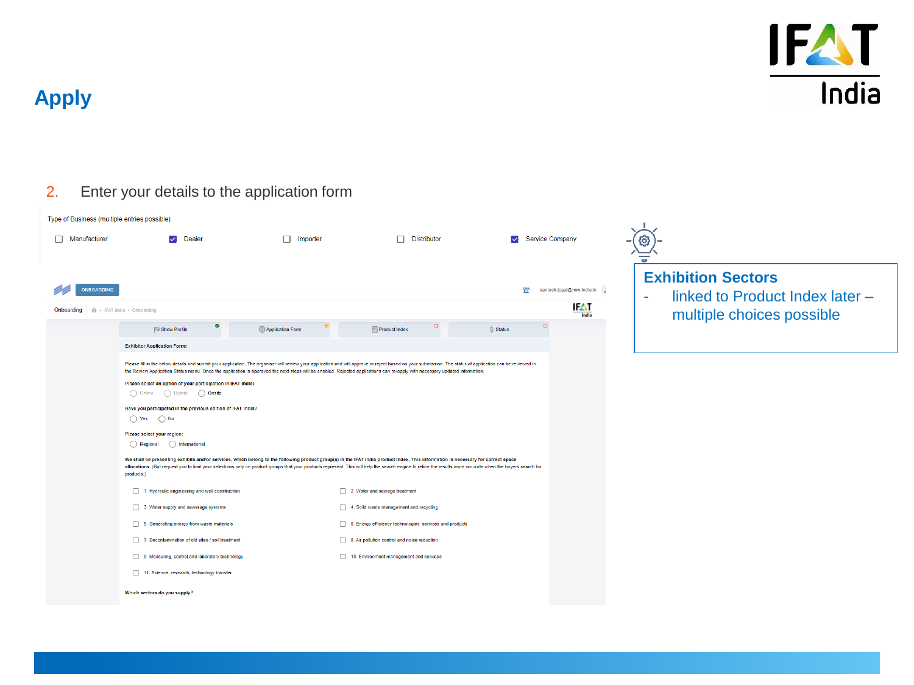

### 2. Enter your details to the application form

| Type of Business (multiple entries possible)                |                                                                                                                                                                                                                                                                                                                                                                                                                                                                                                                                                                    |                               |                                                                                                                                                                                                                                                                                                                                                                                                                                                                                                                                                                                                                                                                                                                                                                                                                                                                                                                                                                                                                                 |                            |                                   |                                                                                                                    |
|-------------------------------------------------------------|--------------------------------------------------------------------------------------------------------------------------------------------------------------------------------------------------------------------------------------------------------------------------------------------------------------------------------------------------------------------------------------------------------------------------------------------------------------------------------------------------------------------------------------------------------------------|-------------------------------|---------------------------------------------------------------------------------------------------------------------------------------------------------------------------------------------------------------------------------------------------------------------------------------------------------------------------------------------------------------------------------------------------------------------------------------------------------------------------------------------------------------------------------------------------------------------------------------------------------------------------------------------------------------------------------------------------------------------------------------------------------------------------------------------------------------------------------------------------------------------------------------------------------------------------------------------------------------------------------------------------------------------------------|----------------------------|-----------------------------------|--------------------------------------------------------------------------------------------------------------------|
| Manufacturer                                                | Dealer<br>$\checkmark$                                                                                                                                                                                                                                                                                                                                                                                                                                                                                                                                             | Importer                      | <b>Distributor</b>                                                                                                                                                                                                                                                                                                                                                                                                                                                                                                                                                                                                                                                                                                                                                                                                                                                                                                                                                                                                              | <b>Service Company</b>     |                                   |                                                                                                                    |
| <b>ONBOARDING</b><br>Onboarding 命 · IFAT India · Onboarding | <b>Fall Show Profile</b>                                                                                                                                                                                                                                                                                                                                                                                                                                                                                                                                           | <sup>2</sup> Application Form | $\blacksquare$ Product Index                                                                                                                                                                                                                                                                                                                                                                                                                                                                                                                                                                                                                                                                                                                                                                                                                                                                                                                                                                                                    | 伫<br>$\circ$<br>$S$ Status | santosh.jogal@mm-india.in<br>IFAT | <b>Exhibition Sectors</b><br>linked to Product Index later -<br>$\tilde{\phantom{a}}$<br>multiple choices possible |
|                                                             | <b>Exhibitor Application Form:</b><br>Please select an option of your participation in IFAT India:<br>○ Online ● ○ Hybrid ● ○ Onsite<br>Have you participated in the previous edition of IFAT India?<br>$\bigcap$ Yes $\bigcap$ No<br>Please select your region:<br>$( )$ Regional<br>() International<br>products.)<br>1. Hydraulic engineering and well construction<br>3. Water supply and sewerage systems<br>5. Generating energy from waste materials<br>7. Decontamination of old sites / soil treatment<br>9. Measuring, control and laboratory technology |                               | Please fill in the below details and submit your application. The organiser will review your application and will approve or reject based on your submission. The status of application can be reviewed in<br>the Review Application Status menu. Once the application is approved the next steps will be enabled. Rejected applications can re-apply with necessary updated information.<br>We shall be presenting exhibits and/or services, which belong to the following product group(s) in the IFAT India product index. This information is necessary for correct space<br>allocations. (But request you to limit your selections only on product groups that your products represent. This will help the search engine to refine the results more accurate when the buyers search for<br>2. Water and sewage treatment<br>4. Solid waste management and recycling<br>6. Energy efficiency technologies, services and products<br>8. Air pollution control and noise reduction<br>10. Environment management and services |                            |                                   |                                                                                                                    |
|                                                             | 11. Science, research, technology transfer<br>Which sectors do you supply?                                                                                                                                                                                                                                                                                                                                                                                                                                                                                         |                               |                                                                                                                                                                                                                                                                                                                                                                                                                                                                                                                                                                                                                                                                                                                                                                                                                                                                                                                                                                                                                                 |                            |                                   |                                                                                                                    |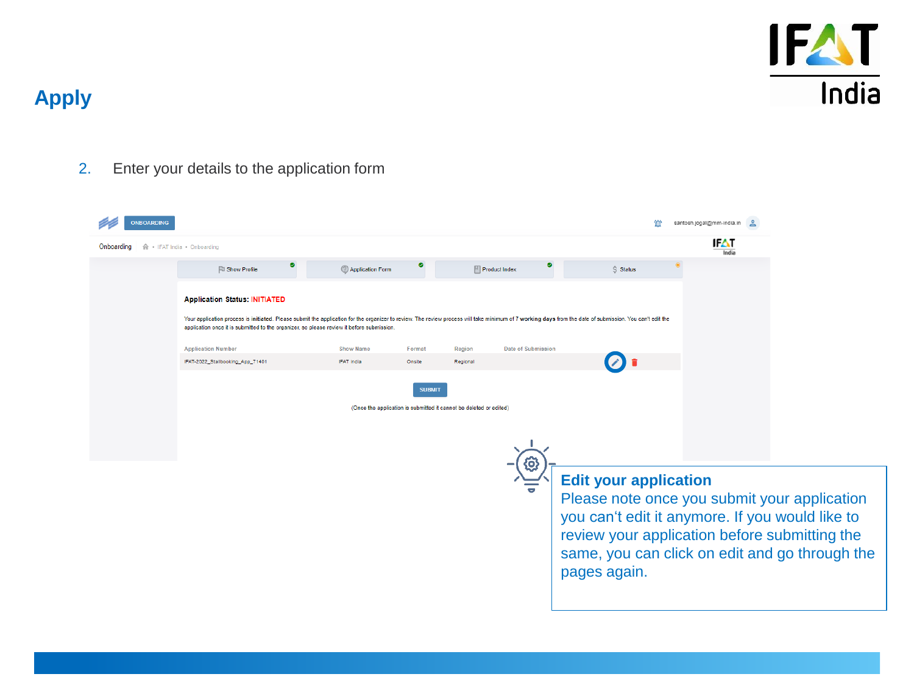

### 2. Enter your details to the application form

| <b>NBOARDING</b> |                                                                                                                                                                                                                                                                                                      |                                                                    |               |                                                                                                                                                                                                                                                    |                    |            | santosh.jogal@mm-india.in |  |  |  |
|------------------|------------------------------------------------------------------------------------------------------------------------------------------------------------------------------------------------------------------------------------------------------------------------------------------------------|--------------------------------------------------------------------|---------------|----------------------------------------------------------------------------------------------------------------------------------------------------------------------------------------------------------------------------------------------------|--------------------|------------|---------------------------|--|--|--|
| Onboarding       | 命 · IFAT India · Onboarding                                                                                                                                                                                                                                                                          |                                                                    |               |                                                                                                                                                                                                                                                    |                    |            | IFAT<br>India             |  |  |  |
|                  | $\bullet$<br><b>El Show Profile</b>                                                                                                                                                                                                                                                                  | 2 Application Form                                                 | o             | $\mathbb{F}$ Product Index                                                                                                                                                                                                                         | $\bullet$          | $S$ Status |                           |  |  |  |
|                  | <b>Application Status: INITIATED</b>                                                                                                                                                                                                                                                                 |                                                                    |               |                                                                                                                                                                                                                                                    |                    |            |                           |  |  |  |
|                  | Your application process is initiated. Please submit the application for the organizer to review. The review process will take minimum of 7 working days from the date of submission. You can't edit the<br>application once it is submitted to the organizer, so please review it before submission |                                                                    |               |                                                                                                                                                                                                                                                    |                    |            |                           |  |  |  |
|                  | <b>Application Number</b>                                                                                                                                                                                                                                                                            | <b>Show Name</b>                                                   | Format        | Region                                                                                                                                                                                                                                             | Date of Submission |            |                           |  |  |  |
|                  | IFAT-2022_Stallbooking_App_71401                                                                                                                                                                                                                                                                     | <b>IFAT India</b>                                                  | Onsite        | Regional                                                                                                                                                                                                                                           |                    |            |                           |  |  |  |
|                  |                                                                                                                                                                                                                                                                                                      | (Once the application is submitted it cannot be deleted or edited) | <b>SUBMIT</b> |                                                                                                                                                                                                                                                    | Q                  |            |                           |  |  |  |
|                  |                                                                                                                                                                                                                                                                                                      |                                                                    |               | <b>Edit your application</b><br>Please note once you submit your application<br>you can't edit it anymore. If you would like to<br>review your application before submitting the<br>same, you can click on edit and go through the<br>pages again. |                    |            |                           |  |  |  |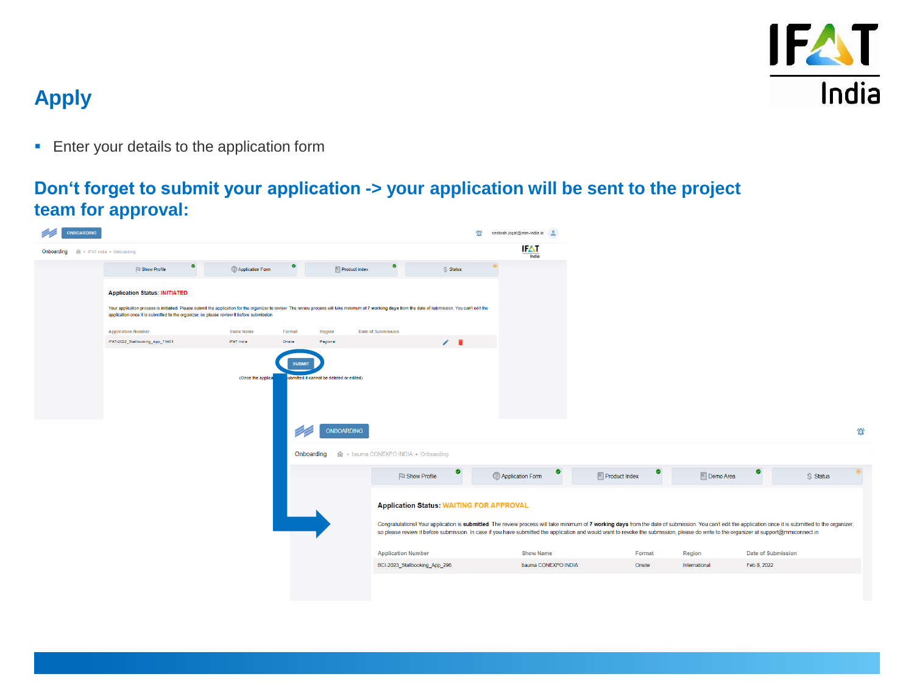

**Enter your details to the application form** 

### **Don't forget to submit your application -> your application will be sent to the project team for approval:**

| <b>ONBOARDING</b>                      |                                                                                                                                                                                                                                                                                                       |                    |                                                                  |                                                 | 伫<br>santosh.jogal@mm-india.in             |                                                                                                                                                                                         |               |                                                                                                                                                                                                           |
|----------------------------------------|-------------------------------------------------------------------------------------------------------------------------------------------------------------------------------------------------------------------------------------------------------------------------------------------------------|--------------------|------------------------------------------------------------------|-------------------------------------------------|--------------------------------------------|-----------------------------------------------------------------------------------------------------------------------------------------------------------------------------------------|---------------|-----------------------------------------------------------------------------------------------------------------------------------------------------------------------------------------------------------|
| Onboarding 命 · IFAT India · Onboarding |                                                                                                                                                                                                                                                                                                       |                    |                                                                  |                                                 | IFAT<br>India                              |                                                                                                                                                                                         |               |                                                                                                                                                                                                           |
|                                        | ۰<br><b>Fill Show Profile</b>                                                                                                                                                                                                                                                                         | @ Application Form | ۰<br>$\blacksquare$ Product Index                                | $\bullet$<br>$$$ Status                         |                                            |                                                                                                                                                                                         |               |                                                                                                                                                                                                           |
|                                        | <b>Application Status: INITIATED</b>                                                                                                                                                                                                                                                                  |                    |                                                                  |                                                 |                                            |                                                                                                                                                                                         |               |                                                                                                                                                                                                           |
|                                        | Your application process is initiated. Please submit the application for the organizer to review. The review process will take minimum of 7 working days from the date of submission. You can't edit the<br>application once it is submitted to the organizer, so please review it before submission. |                    |                                                                  |                                                 |                                            |                                                                                                                                                                                         |               |                                                                                                                                                                                                           |
|                                        | <b>Application Number</b>                                                                                                                                                                                                                                                                             | <b>Show Name</b>   | Format<br>Region                                                 | Date of Submission                              |                                            |                                                                                                                                                                                         |               |                                                                                                                                                                                                           |
|                                        | IFAT-2022_Stallbooking_App_71401                                                                                                                                                                                                                                                                      | IFAT India         | Onsite<br>Regional                                               | $\angle$ 0                                      |                                            |                                                                                                                                                                                         |               |                                                                                                                                                                                                           |
|                                        |                                                                                                                                                                                                                                                                                                       | (Once the applica  | SUBMIT<br>ubmitted it cannot be deleted or edited)<br>ONBOARDING | Onboarding 命 · bauma CONEXPO INDIA · Onboarding |                                            |                                                                                                                                                                                         |               | 位                                                                                                                                                                                                         |
|                                        |                                                                                                                                                                                                                                                                                                       |                    |                                                                  | ø<br><b>El Show Profile</b>                     | $\bullet$<br><sup>2</sup> Application Form | ●<br>$\boxed{\phantom{a}}$ Product Index                                                                                                                                                | Demo Area     | ø<br>S Status                                                                                                                                                                                             |
|                                        |                                                                                                                                                                                                                                                                                                       |                    |                                                                  | <b>Application Status: WAITING FOR APPROVAL</b> |                                            | so please review it before submission. In case if you have submitted the application and would want to revoke the submission, please do write to the organizer at support@mmiconnect.in |               | Congratulations! Your application is submitted. The review process will take minimum of 7 working days from the date of submission. You can't edit the application once it is submitted to the organizer, |
|                                        |                                                                                                                                                                                                                                                                                                       |                    |                                                                  | <b>Application Number</b>                       | <b>Show Name</b>                           | Format                                                                                                                                                                                  | Region        | Date of Submission                                                                                                                                                                                        |
|                                        |                                                                                                                                                                                                                                                                                                       |                    |                                                                  | BCI-2023_Stallbooking_App_296                   | bauma CONEXPO INDIA                        | Onsite                                                                                                                                                                                  | International | Feb 8, 2022                                                                                                                                                                                               |
|                                        |                                                                                                                                                                                                                                                                                                       |                    |                                                                  |                                                 |                                            |                                                                                                                                                                                         |               |                                                                                                                                                                                                           |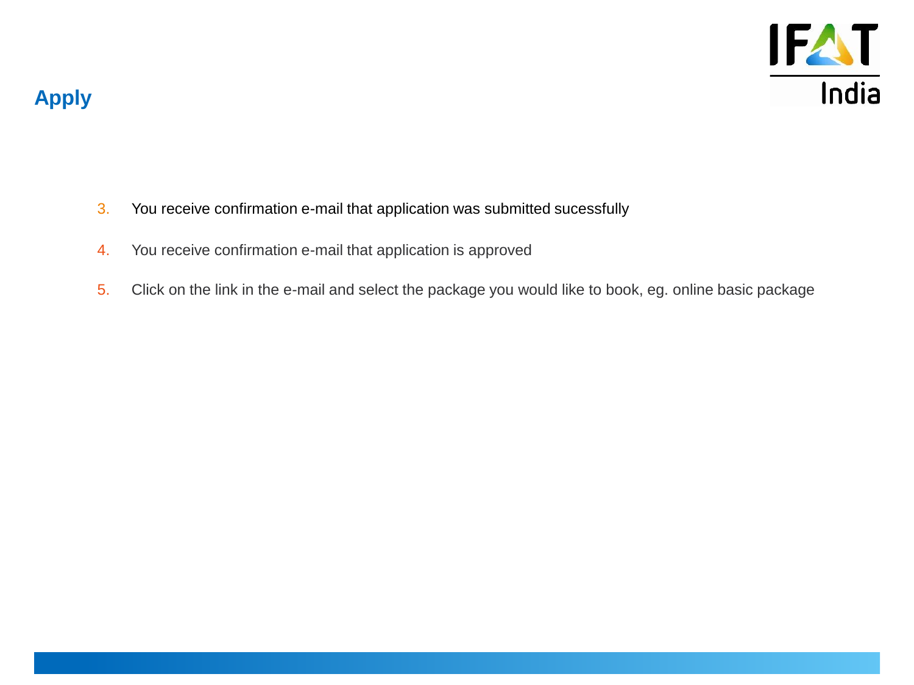

- 3. You receive confirmation e-mail that application was submitted sucessfully
- 4. You receive confirmation e-mail that application is approved
- 5. Click on the link in the e-mail and select the package you would like to book, eg. online basic package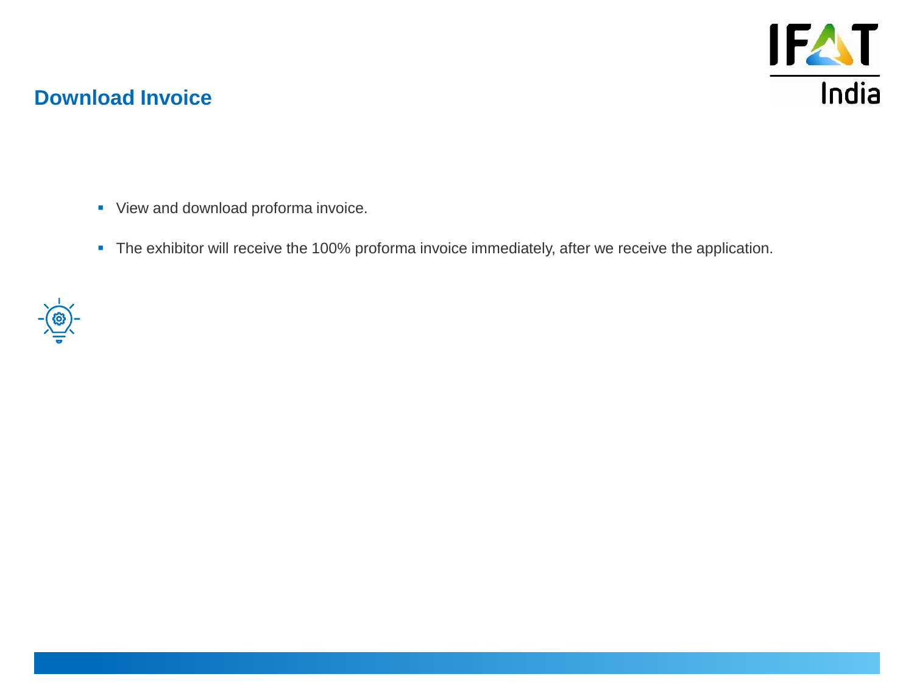

### **Download Invoice**

- **•** View and download proforma invoice.
- **·** The exhibitor will receive the 100% proforma invoice immediately, after we receive the application.